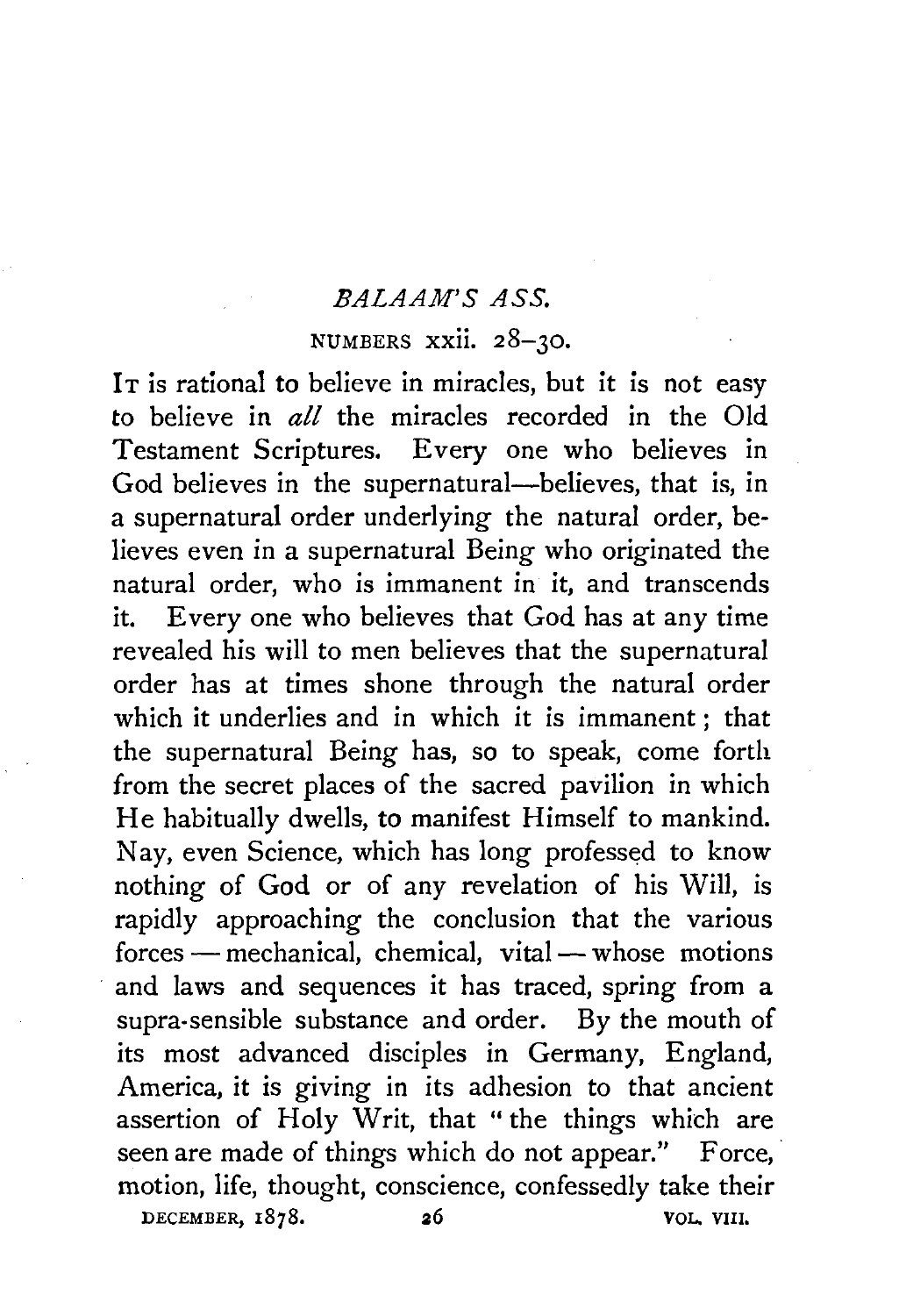### *EALAAM'S ASS.*

## NUMBERS xxii. 28-30.

It is rational to believe in miracles, but it is not easy to believe in *all* the miracles recorded in the Old Testament Scriptures. Every one who believes in God believes in the supernatural-believes, that is, in a supernatural order underlying the natural order, believes even in a supernatural Being who originated the natural order, who is immanent in it, and transcends it. Every one who believes that God has at any time revealed his will to men believes that the supernatural order has at times shone through the natural order which it underlies and in which it is immanent *;* that the supernatural Being has, so to speak, come forth from the secret places of the sacred pavilion in which He habitually dwells, to manifest Himself to mankind. Nay, even Science, which has long professed to know nothing of God or of any revelation of his Will, is rapidly approaching the conclusion that the various forces - mechanical, chemical, vital - whose motions and laws and sequences it has traced, spring from a supra-sensible substance and order. By the mouth of its most advanced disciples in Germany, England, America, it is giving in its adhesion to that ancient assertion of Holy Writ, that " the things which are seen are made of things which do not appear." Force, motion, life, thought, conscience, confessedly take their DECEMBER, 1878. 26 VOL. VIII.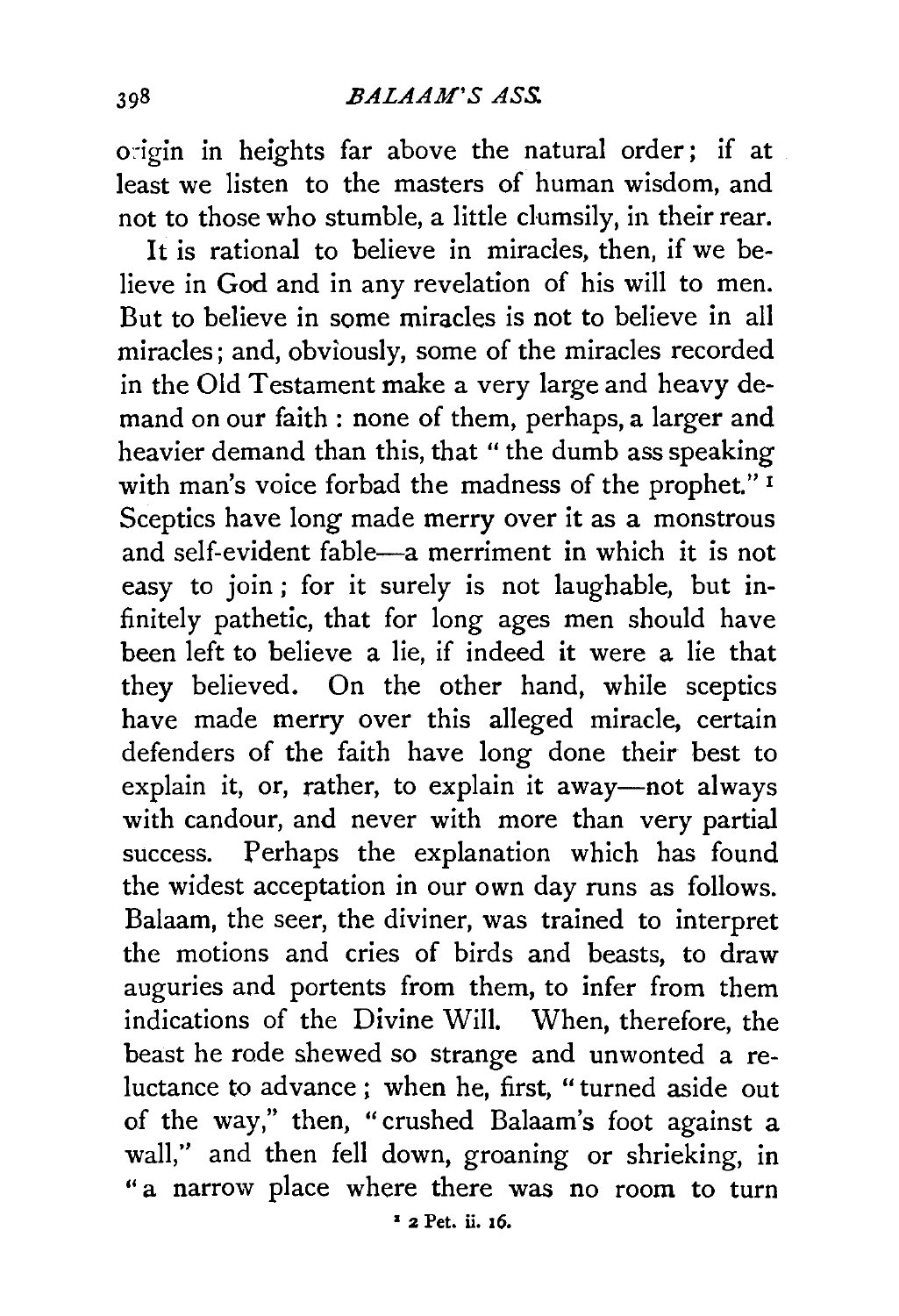origin in heights far above the natural order; if at least we listen to the masters of human wisdom, and not to those who stumble, a little clumsily, in their rear.

It is rational to believe in miracles, then, if we believe in God and in any revelation of his will to men. But to believe in some miracles is not to believe in all miracles; and, obviously, some of the miracles recorded in the Old Testament make a very large and heavy demand on our faith : none of them, perhaps, a larger and heavier demand than this, that " the dumb ass speaking with man's voice forbad the madness of the prophet."<sup>1</sup> Sceptics have long made merry over it as a monstrous and self-evident fable-a merriment in which it is not easy to join ; for it surely is not laughable, but infinitely pathetic, that for long ages men should have been left to believe a lie, if indeed it were a lie that they believed. On the other hand, while sceptics have made merry over this alleged miracle, certain defenders of the faith have long done their best to explain it, or, rather, to explain it away-not always with candour, and never with more than very partial success. Perhaps the explanation which has found the widest acceptation in our own day runs as follows. Balaam, the seer, the diviner, was trained to interpret the motions and cries of birds and beasts, to draw auguries and portents from them, to infer from them indications of the Divine Will. When, therefore, the beast he rode shewed so strange and unwonted a reluctance to advance; when he, first, "turned aside out of the way," then, "crushed Balaam's foot against a wall," and then fell down, groaning or shrieking, in " a narrow place where there was no room to turn • 2 Pet. ii. 16.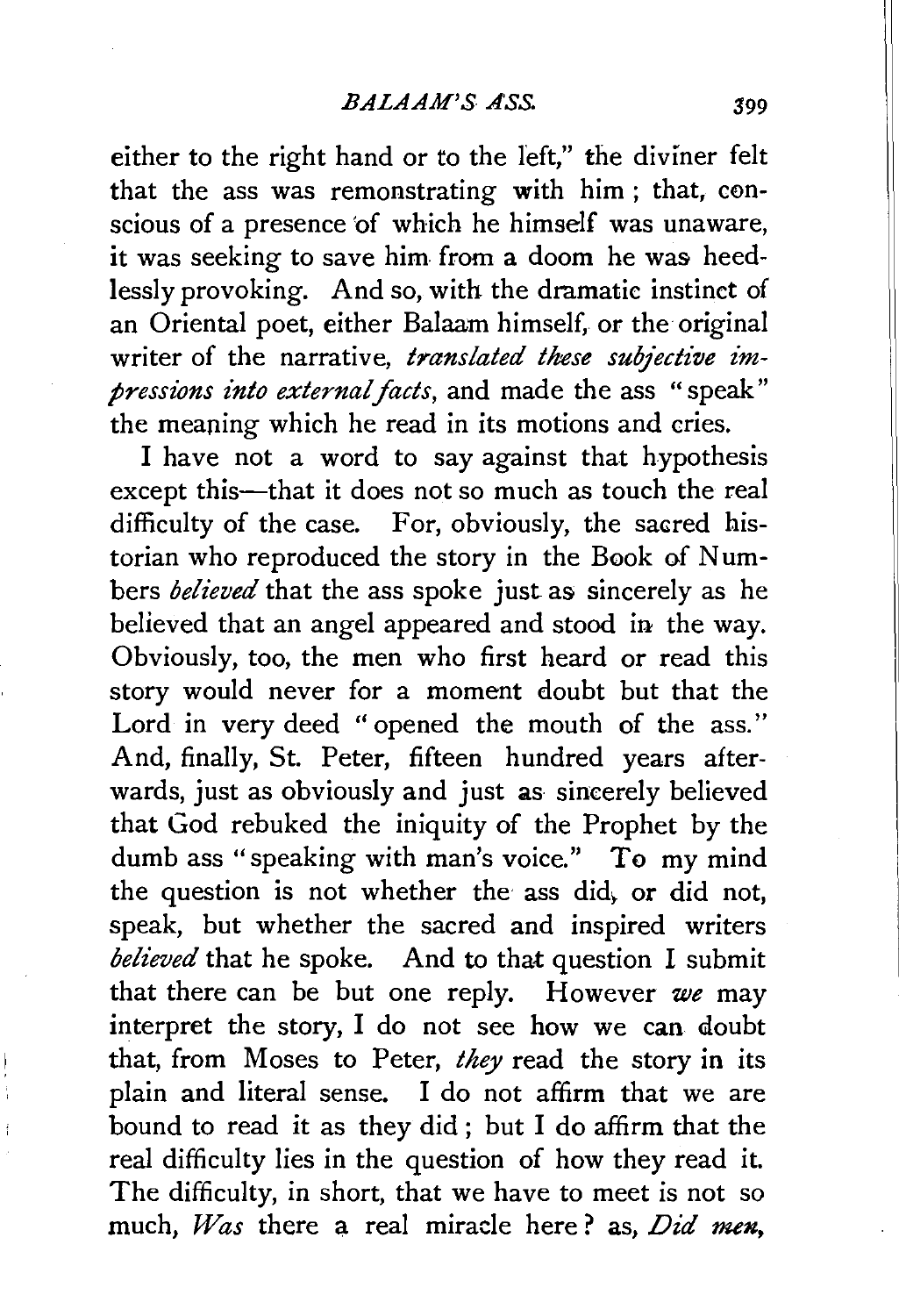either to the right hand or to the left," the diviner felt that the ass was remonstrating with him ; that, conscious of a presence 'of which he himself was unaware, it was seeking to save him from a doom he was heedlessly provoking. And so, with the dramatic instinct of an Oriental poet, either Balaam himself, or the original writer of the narrative, *translated these subjective impressions into external facts,* and made the ass " speak" the meaning which he read in its motions and cries.

I have not a word to say against that hypothesis except this-that it does not so much as touch the real difficulty of the case. For, obviously, the sacred historian who reproduced the story in the Book of Numbers *believed* that the ass spoke just as sincerely as he believed that an angel appeared and stood in the way. Obviously, too, the men who first heard or read this story would never for a moment doubt but that the Lord in very deed " opened the mouth of the ass." And, finally, St. Peter, fifteen hundred years afterwards, just as obviously and just as sincerely believed that God rebuked the iniquity of the Prophet by the dumb ass "speaking with man's voice." To my mind the question is not whether the ass did, or did not, speak, but whether the sacred and inspired writers *believed* that he spoke. And to that question I submit that there can be but one reply. However *we* may interpret the story, I do not see how we can doubt that, from Moses to Peter, *they* read the story in its plain and literal sense. I do not affirm that we are bound to read it as they did ; but I do affirm that the real difficulty lies in the question of how they read it. The difficulty, in short, that we have to meet is not so much, *Was* there a real miracle here? as, *Did men*,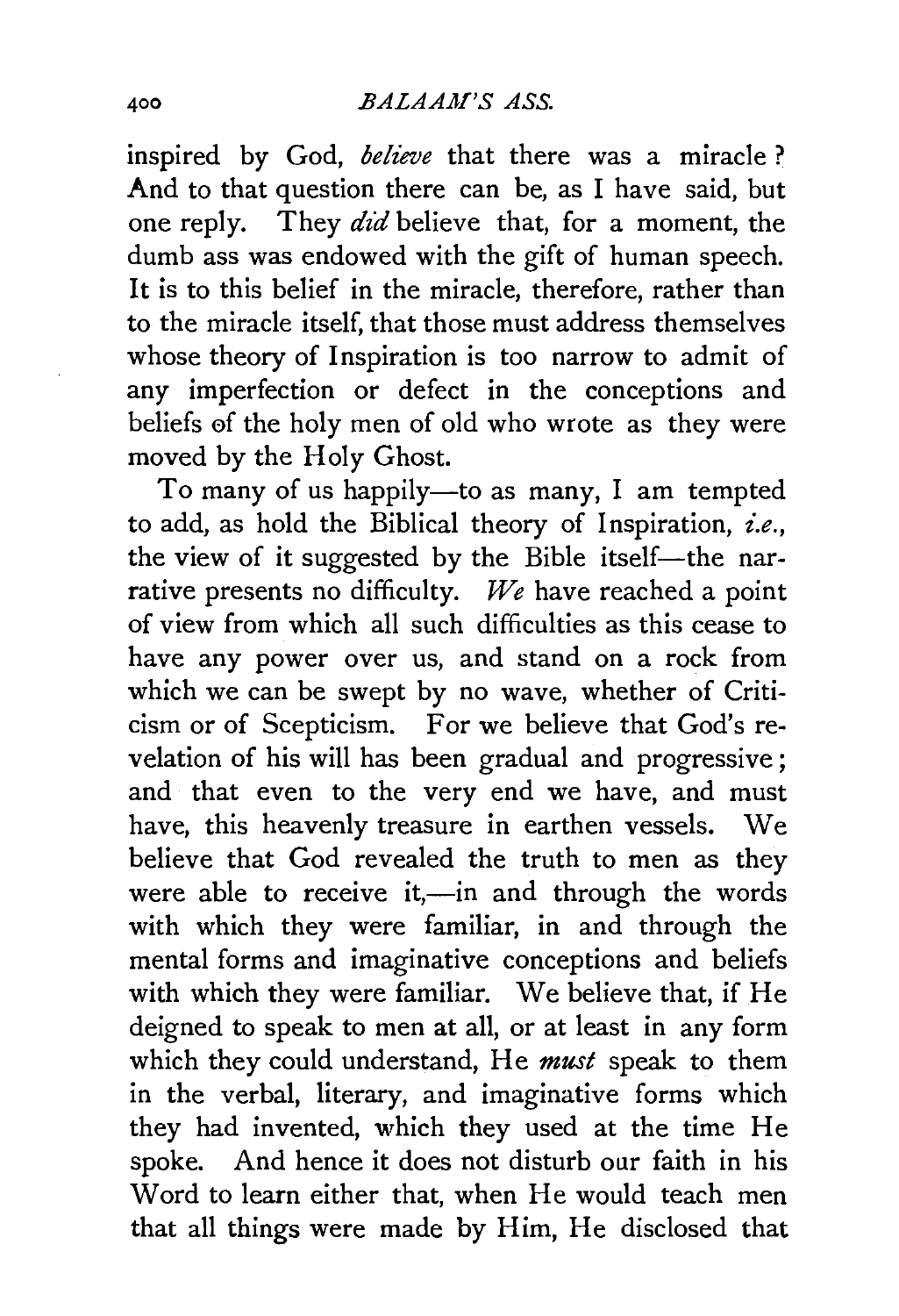inspired by God, *believe* that there was a miracle? And to that question there can be, as I have said, but one reply. They *did* believe that, for a moment, the dumb ass was endowed with the gift of human speech. It is to this belief in the miracle, therefore, rather than to the miracle itself, that those must address themselves whose theory of Inspiration is too narrow to admit of any imperfection or defect in the conceptions and beliefs 0f the holy men of old who wrote as they were moved by the Holy Ghost.

To many of us happily-to as many, I am tempted to add, as hold the Biblical theory of Inspiration, *i.e.*, the view of it suggested by the Bible itself-the narrative presents no difficulty. *We* have reached a point of view from which all such difficulties as this cease to have any power over us, and stand on a rock from which we can be swept by no wave, whether of Criticism or of Scepticism. For we believe that God's revelation of his will has been gradual and progressive; and that even to the very end we have, and must have, this heavenly treasure in earthen vessels. We believe that God revealed the truth to men as they were able to receive it,-in and through the words with which they were familiar, in and through the mental forms and imaginative conceptions and beliefs with which they were familiar. We believe that, if He deigned to speak to men at all, or at least in any form which they could understand, He *must* speak to them in the verbal, literary, and imaginative forms which they had invented, which they used at the time He spoke. And hence it does not disturb our faith in his Word to learn either that, when He would teach men that all things were made by Him, He disclosed that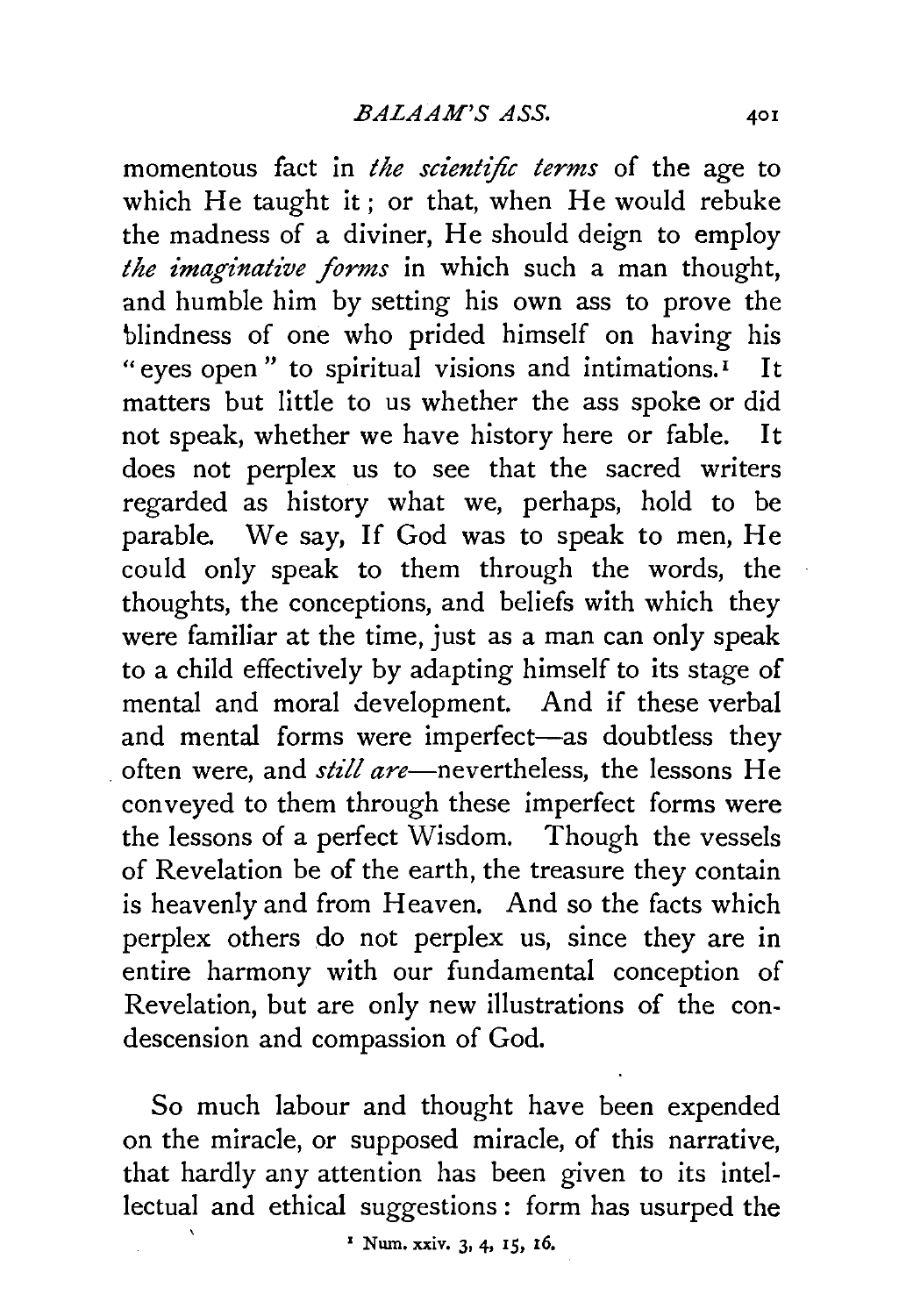momentous fact in *the scientific terms* of the age to which He taught it; or that, when He would rebuke the madness of a diviner, He should deign to employ *the imaginative forms* in which such a man thought, and humble him by setting his own ass to prove the blindness of one who prided himself on having his "eyes open" to spiritual visions and intimations. $I$  It matters but little to us whether the ass spoke or did not speak, whether we have history here or fable. It does not perplex us to see that the sacred writers regarded as history what we, perhaps, hold to be parable. We say, If God was to speak to men, He could only speak to them through the words, the thoughts, the conceptions, and beliefs with which they were familiar at the time, just as a man can only speak to a child effectively by adapting himself to its stage of mental and moral development. And if these verbal and mental forms were imperfect-as doubtless they often were, and *still are*—nevertheless, the lessons He conveyed to them through these imperfect forms were the lessons of a perfect Wisdom. Though the vessels of Revelation be of the earth, the treasure they contain is heavenly and from Heaven. And so the facts which perplex others do not perplex us, since they are in entire harmony with our fundamental conception of Revelation, but are only new illustrations of the condescension and compassion of God.

So much labour and thought have been expended on the miracle, or supposed miracle, of this narrative, that hardly any attention has been given to its intellectual and ethical suggestions : form has usurped the

 $'$  Num. xxiv. 3, 4, 15, 16.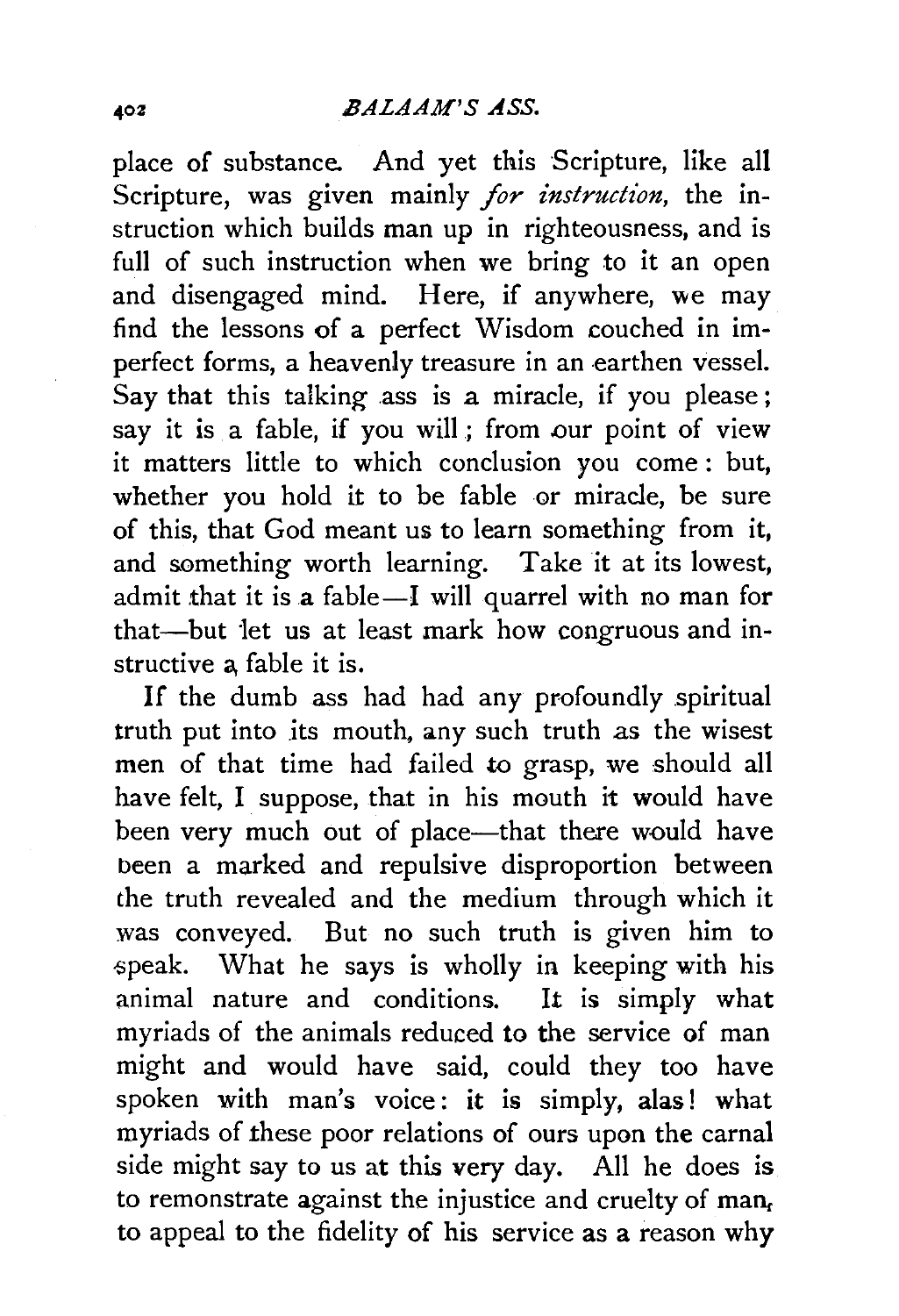place of substance. And yet this Scripture, like all Scripture, was given mainly *for instruction,* the instruction which builds man up in righteousness, and is full of such instruction when we bring to it an open and disengaged mind. Here, if anywhere, we may find the lessons of a perfect Wisdom couched in imperfect forms, a heavenly treasure in an earthen vessel. Say that this talking ass is a miracle, if you please; say it is a fable, if you will; from our point of view it matters little to which conclusion you come : but, whether you hold it to be fable or miracle, be sure of this, that God meant us to learn something from it, and something worth learning. Take it at its lowest, admit that it is a fable-I will quarrel with no man for that-but let us at least mark how congruous and instructive a fable it is.

If the dumb ass had had any profoundly spiritual truth put into its mouth, any such truth as the wisest men of that time had failed to grasp, we should all have felt, I suppose, that in his mouth it would have been very much out of place---that there would have been a marked and repulsive disproportion between the truth revealed and the medium through which it was conveyed. But no such truth is given him to speak. What he says is wholly in keeping with his animal nature and conditions. It is simply what myriads of the animals reduced to the service of man might and would have said, could they too have spoken with man's voice: it is simply, alas! what myriads of these poor relations of ours upon the carnal side might say to us at this very day. All he does is to remonstrate against the injustice and cruelty of  $man<sub>f</sub>$ to appeal to the fidelity of his service as a reason why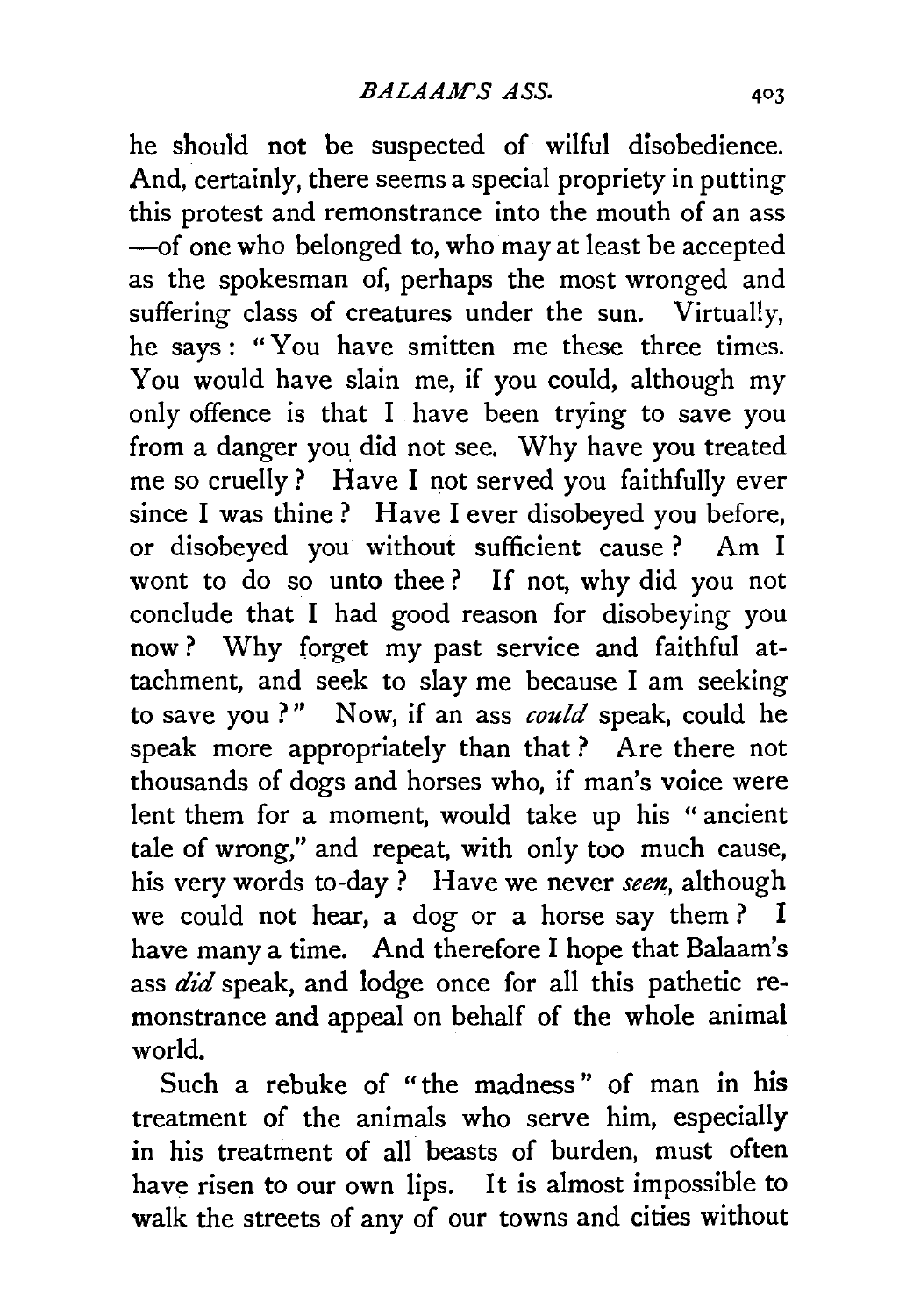he should not be suspected of wilful disobedience. And, certainly, there seems a special propriety in putting this protest and remonstrance into the mouth of an ass -of one who belonged to, who may at least be accepted as the spokesman of, perhaps the most wronged and suffering class of creatures under the sun. Virtually, he says: "You have smitten me these three times. You would have slain me, if you could, although my only offence is that I have been trying to save you from a danger you. did not see. Why have you treated me so cruelly ? Have I not served you faithfully ever since I was thine? Have I ever disobeyed you before, or disobeyed you without sufficient cause ? Am I wont to do so unto thee ? If not, why did you not conclude that I had good reason for disobeying you now ? Why forget my past service and faithful attachment, and seek to slay me because I am seeking to save you?" Now, if an ass *could* speak, could he speak more appropriately than that ? Are there not thousands of dogs and horses who, if man's voice were lent them for a moment, would take up his " ancient tale of wrong," and repeat, with only too much cause, his very words to-day ? Have we never *seen,* although we could not hear, a dog or a horse say them? I have many a time. And therefore I hope that Balaam's ass *did* speak, and lodge once for all this pathetic remonstrance and appeal on behalf of the whole animal world.

Such a rebuke of "the madness" of man in his treatment of the animals who serve him, especially in his treatment of all beasts of burden, must often have risen to our own lips. It is almost impossible to walk the streets of any of our towns and cities without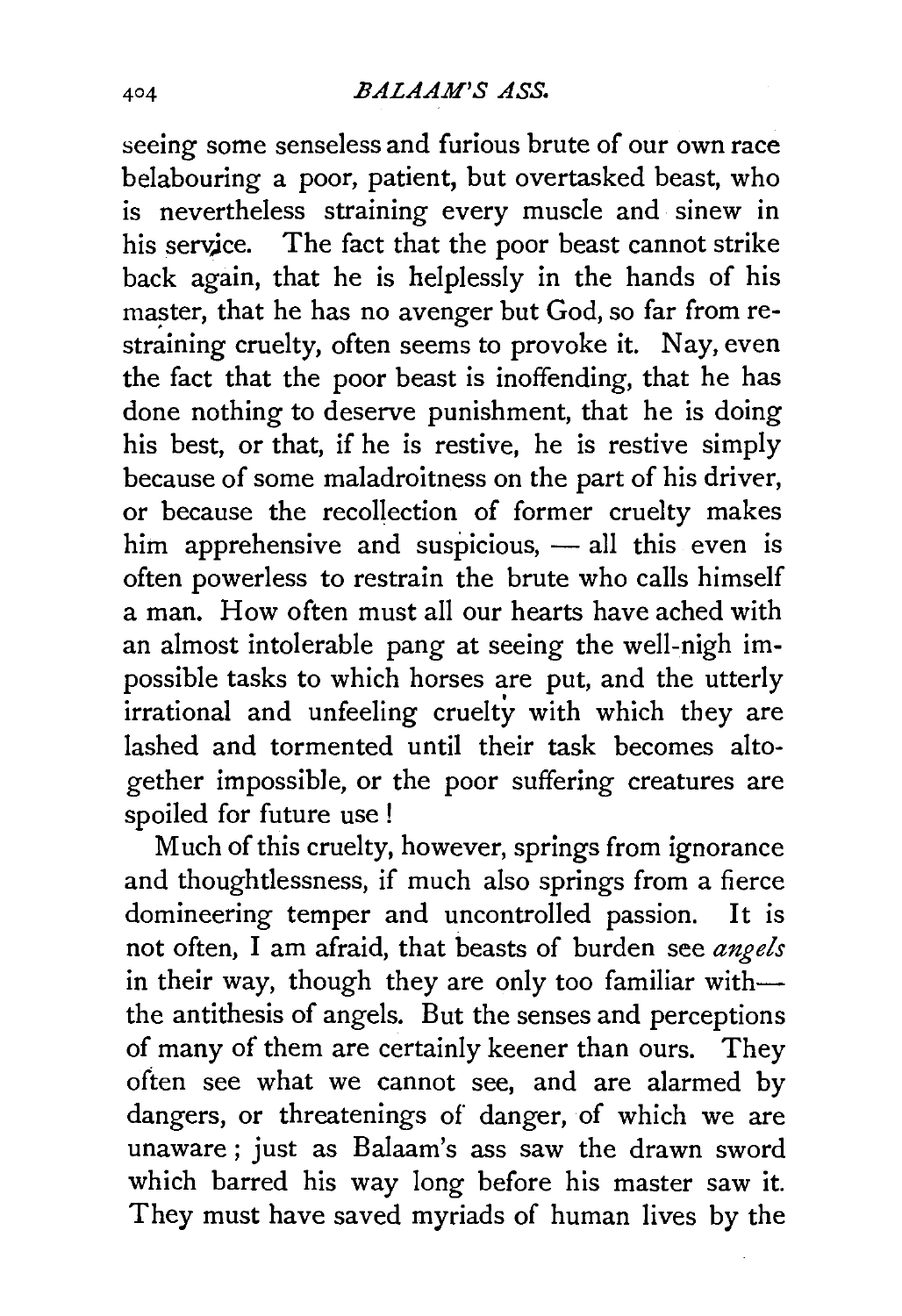#### *BALAAM'S ASS.*

seeing some senseless and furious brute of our own race belabouring a poor, patient, but overtasked beast, who is nevertheless straining every muscle and sinew in his service. The fact that the poor beast cannot strike back again, that he is helplessly in the hands of his master, that he has no avenger but God, so far from restraining cruelty, often seems to provoke it. Nay, even the fact that the poor beast is inoffending, that he has done nothing to deserve punishment, that he is doing his best, or that, if he is restive, he is restive simply because of some maladroitness on the part of his driver, or because the recollection of former cruelty makes him apprehensive and suspicious,  $-$  all this even is often powerless to restrain the brute who calls himself a man. How often must all our hearts have ached with an almost intolerable pang at seeing the well-nigh impossible tasks to which horses are put, and the utterly irrational and unfeeling cruelty with which they are lashed and tormented until their task becomes altogether impossible, or the poor suffering creatures are spoiled for future use !

Much of this cruelty, however, springs from ignorance and thoughtlessness, if much also springs from a fierce domineering temper and uncontrolled passion. It is not often, I am afraid, that beasts of burden see *angels*  in their way, though they are only too familiar withthe antithesis of angels. But the senses and perceptions of many of them are certainly keener than ours. They often see what we cannot see, and are alarmed by dangers, or threatenings of danger, of which we are unaware; just as Balaam's ass saw the drawn sword which barred his way long before his master saw it. They must have saved myriads of human lives by the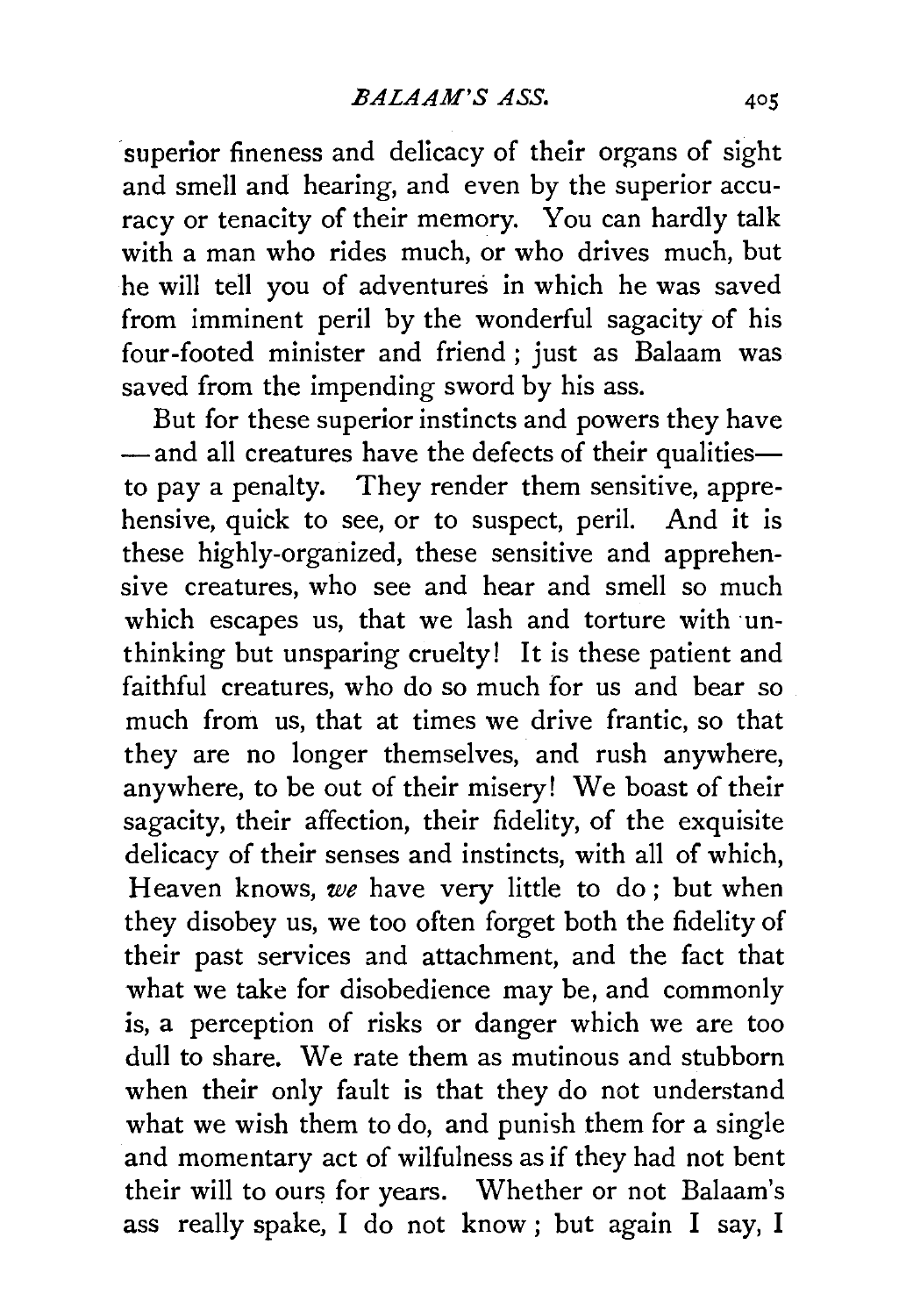superior fineness and delicacy of their organs of sight and smell and hearing, and even by the superior accuracy or tenacity of their memory. You can hardly talk with a man who rides much, or who drives much, but he will tell you of adventures in which he was saved from imminent peril by the wonderful sagacity of his four-footed minister and friend; just as Balaam was saved from the impending sword by his ass.

But for these superior instincts and powers they have  $-$ and all creatures have the defects of their qualitiesto pay a penalty. They render them sensitive, apprehensive, quick to see, or to suspect, peril. And it is these highly-organized, these sensitive and apprehensive creatures, who see and hear and smell so much which escapes us, that we lash and torture with unthinking but unsparing cruelty! It is these patient and faithful creatures, who do so much for us and bear so much from us, that at times we drive frantic, so that they are no longer themselves, and rush anywhere, anywhere, to be out of their misery! We boast of their sagacity, their affection, their fidelity, of the exquisite delicacy of their senses and instincts, with all of which, Heaven knows, we have very little to do; but when they disobey us, we too often forget both the fidelity of their past services and attachment, and the fact that what we take for disobedience may be, and commonly is, a perception of risks or danger which we are too dull to share. We rate them as mutinous and stubborn when their only fault is that they do not understand what we wish them to do, and punish them for a single and momentary act of wilfulness as if they had not bent their will to ours for years. Whether or not Balaam's ass really spake, I do not know ; but again I say, I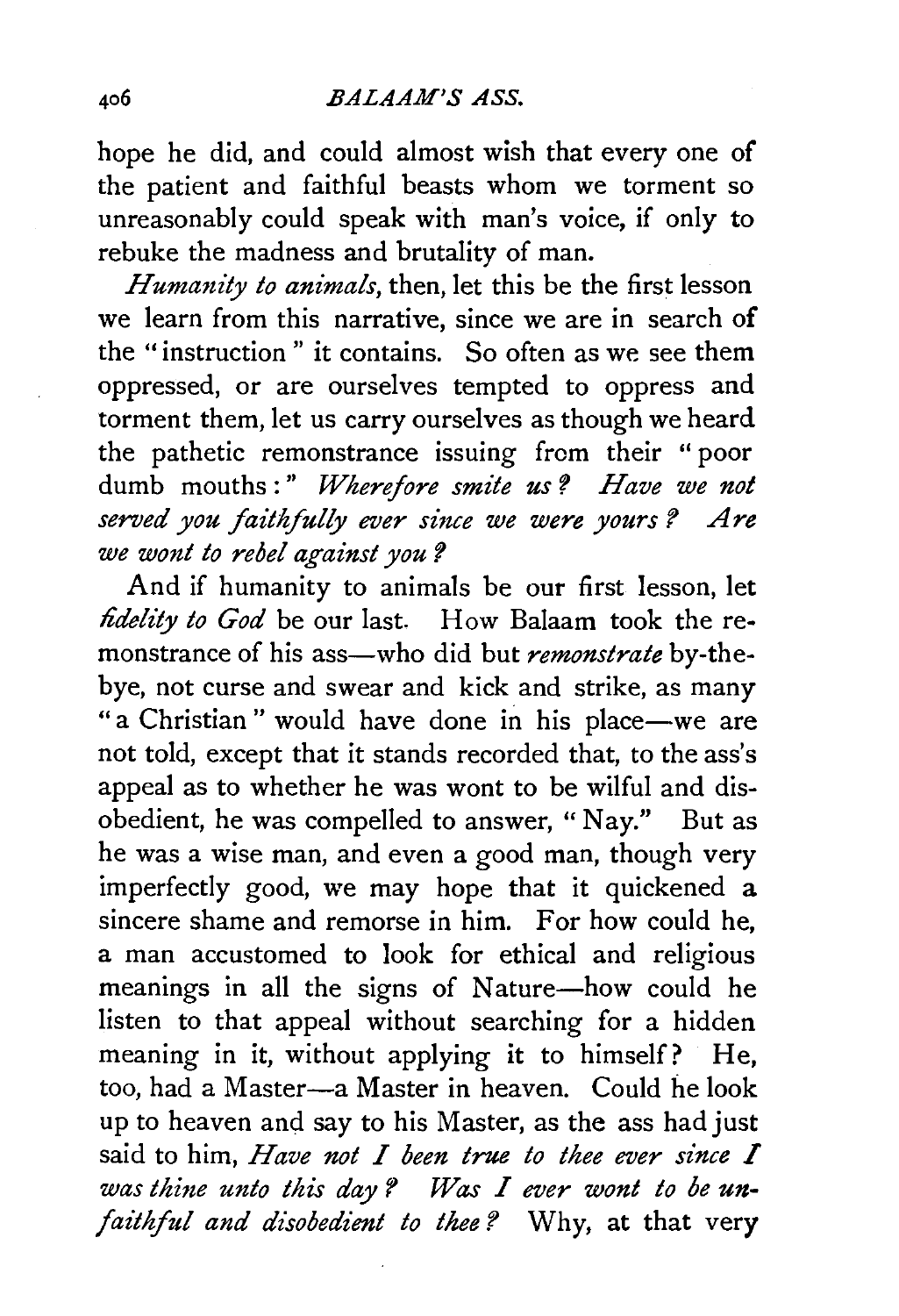hope he did, and could almost wish that every one of the patient and faithful beasts whom we torment so unreasonably could speak with man's voice, if only to rebuke the madness and brutality of man.

*Humanity to animals,* then, let this be the first lesson we learn from this narrative, since we are in search of the "instruction " it contains. So often as we see them oppressed, or are ourselves tempted to oppress and torment them, let us carry ourselves as though we heard the pathetic remonstrance issuing from their " poor dumb mouths:" Wherefore smite us? Have we not served you faithfully ever since we were yours? Are *we wont to rebel against you?* 

And if humanity to animals be our first lesson, let *fidelity to God* be our last. How Balaam took the remonstrance of his ass-who did but *remonstrate* by-thebye, not curse and swear and kick and strike, as many " a Christian" would have done in his place-we are not told, except that it stands recorded that, to the ass's appeal as to whether he was wont to be wilful and disobedient, he was compelled to answer, "Nay." But as he was a wise man, and even a good man, though very imperfectly good, we may hope that it quickened a sincere shame and remorse in him. For how could he, a man accustomed to look for ethical and religious meanings in all the signs of Nature-how could he listen to that appeal without searching for a hidden meaning in it, without applying it to himself? He, too, had a Master-a Master in heaven. Could he look up to heaven and say to his Master, as the ass had just said to him, *Have not I been true to thee ever since* I *was thine unto this day ? Was I ever wont to be un· faithful and disobedient to thee?* Why, at that very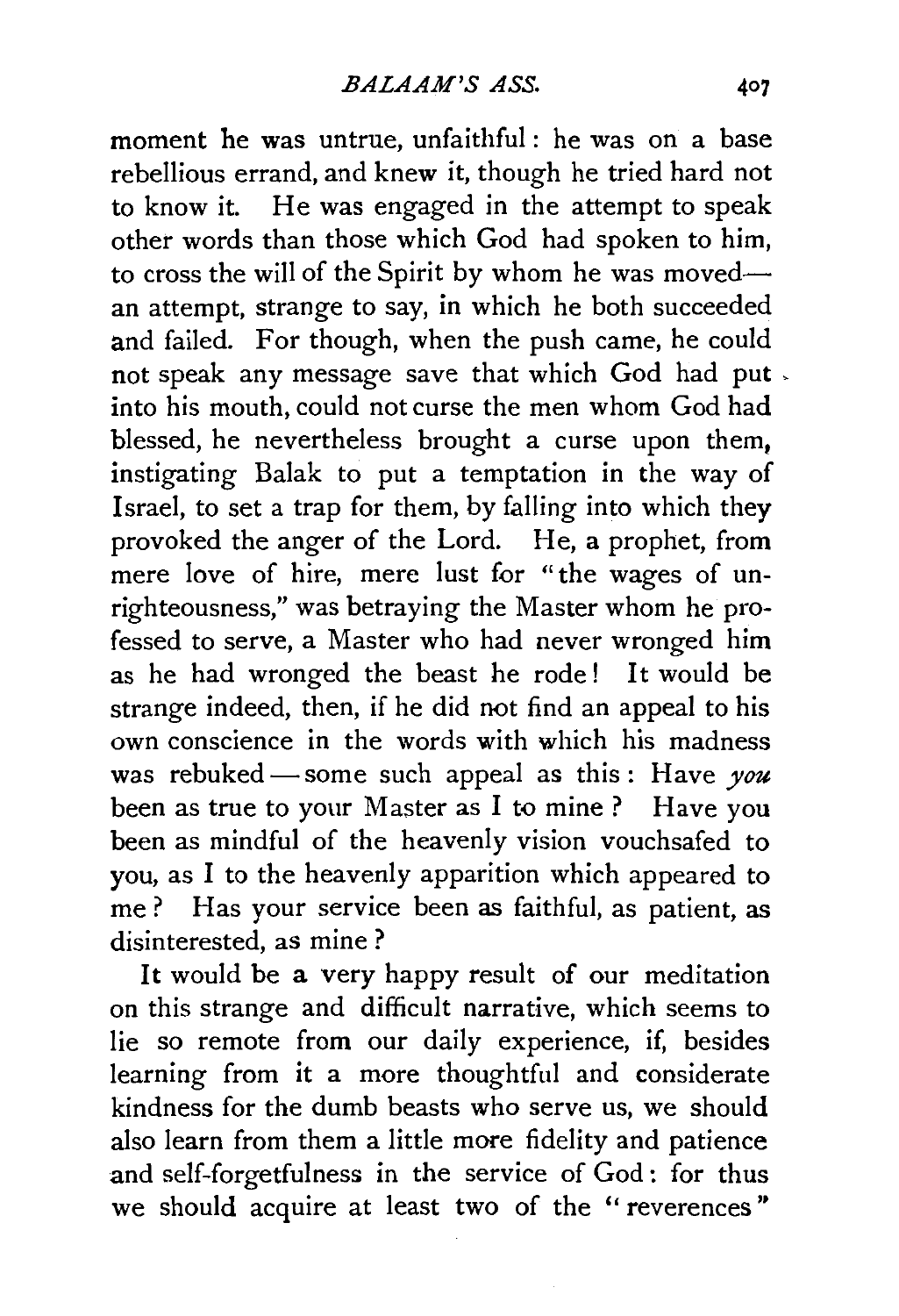moment he was untrue, unfaithful: he was on a base rebellious errand, and knew it, though he tried hard not to know it. He was engaged in the attempt to speak other words than those which God had spoken to him, to cross the will of the Spirit by whom he was movedan attempt, strange to say, in which he both succeeded and failed. For though, when the push came, he could not speak any message save that which God had put , into his mouth, could not curse the men whom God had blessed, he nevertheless brought a curse upon them. instigating Balak to put a temptation in the way of Israel, to set a trap for them, by falling into which they provoked the anger of the Lord. He, a prophet, from mere love of hire, mere lust for "the wages of unrighteousness," was betraying the Master whom he professed to serve, a Master who had never wronged him as he had wronged the beast he rode ! It would be strange indeed, then, if he did not find an appeal to his own conscience in the words with which his madness was rebuked-some such appeal as this: Have you been as true to your Master as I to mine? Have you been as mindful of the heavenly vision vouchsafed to you, as I to the heavenly apparition which appeared to me ? Has your service been as faithful, as patient, as disinterested, as mine?

It would be a very happy result of our meditation on this strange and difficult narrative, which seems to lie so remote from our daily experience, if, besides learning from it a more thoughtful and considerate kindness for the dumb beasts who serve us, we should also learn from them a little more fidelity and patience and self-forgetfulness in the service of God: for thus we should acquire at least two of the "reverences"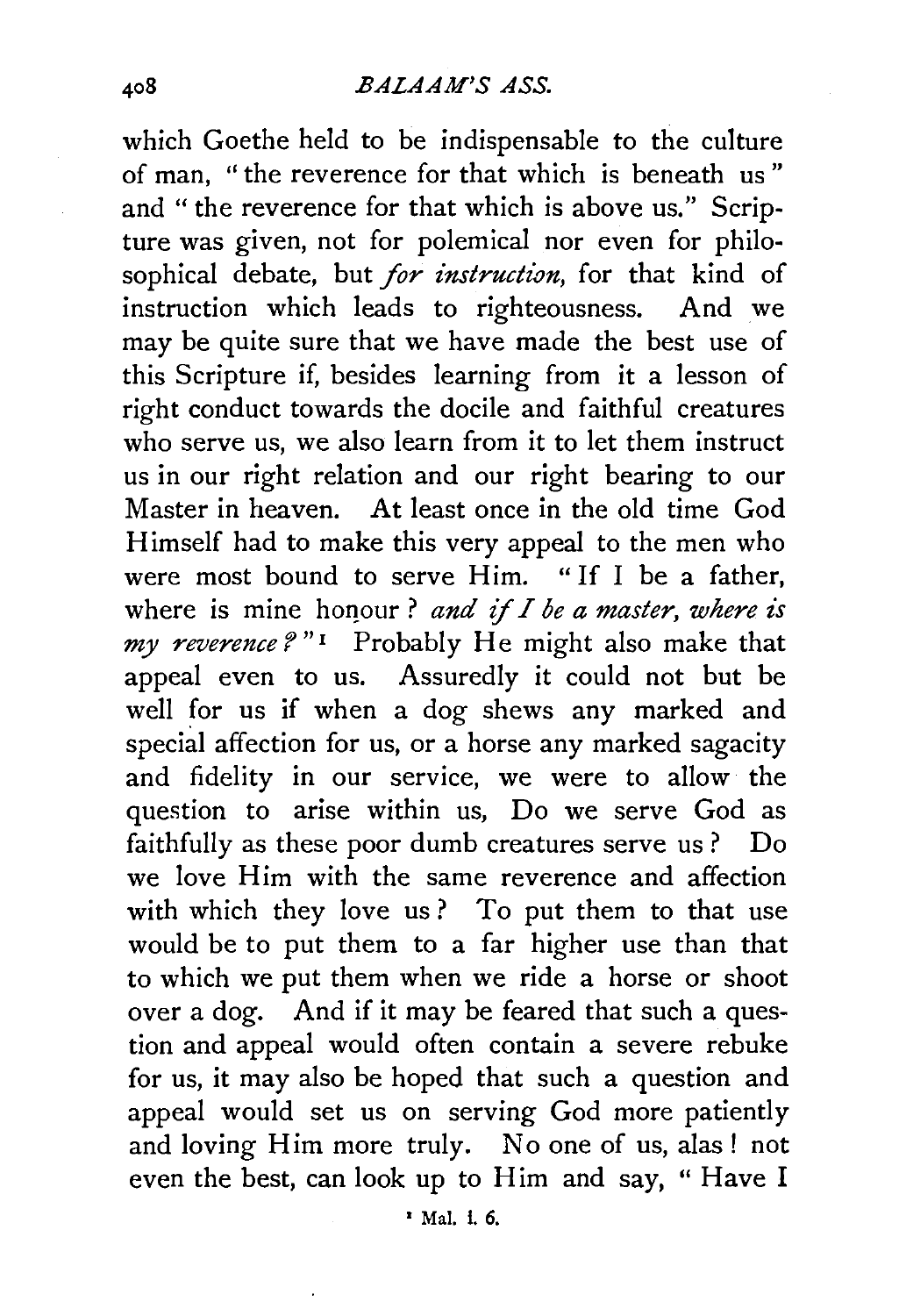which Goethe held to be indispensable to the culture of man, " the reverence for that which is beneath us " and "the reverence for that which is above us." Scripture was given, not for polemical nor even for philosophical debate, but *for instruction,* for that kind of instruction which leads to righteousness. And we may be quite sure that we have made the best use of this Scripture if, besides learning from it a lesson of right conduct towards the docile and faithful creatures who serve us, we also learn from it to let them instruct us in our right relation and our right bearing to our Master in heaven. At least once in the old time God Himself had to make this very appeal to the men who were most bound to serve Him. "If I be a father, where is mine honour? *and if I be a master, where is my reverence* f " 1 Probably He might also make that appeal even to us. Assuredly it could not but be well for us if when a dog shews any marked and special affection for us, or a horse any marked sagacity and fidelity in our service, we were to allow the question to arise within us, Do we serve God as faithfully as these poor dumb creatures serve us? Do we love Him with the same reverence and affection with which they love us? To put them to that use would be to put them to a far higher use than that to which we put them when we ride a horse or shoot over a dog. And if it may be feared that such a question and appeal would often contain a severe rebuke for us, it may also be hoped that such a question and appeal would set us on serving God more patiently and loving Him more truly. No one of us, alas! not even the best, can look up to Him and say, " Have I